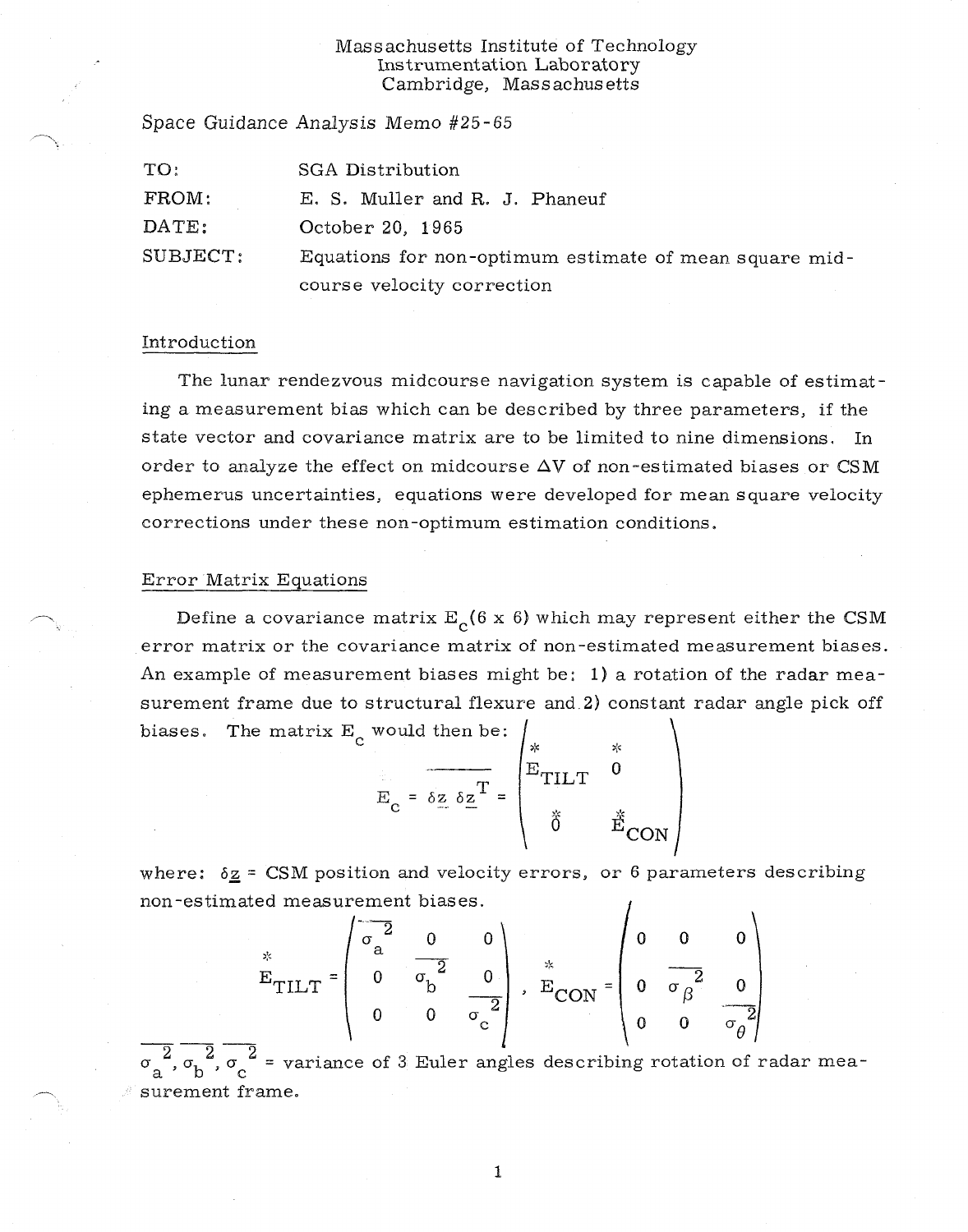## Massachusetts Institute of Technology Instrumentation Laboratory Cambridge, Massachusetts

| TO:      | <b>SGA Distribution</b>                                |
|----------|--------------------------------------------------------|
| FROM:    | E. S. Muller and R. J. Phaneuf                         |
| DATE:    | October 20, 1965                                       |
| SUBJECT: | Equations for non-optimum estimate of mean square mid- |
|          | course velocity correction                             |

## Introduction

The lunar rendezvous midcourse navigation system is capable of estimating a measurement bias which can be described by three parameters, if the state vector and covariance matrix are to be limited to nine dimensions. In order to analyze the effect on midcourse  $\Delta V$  of non-estimated biases or CSM ephemerus uncertainties, equations were developed for mean square velocity corrections under these non-optimum estimation conditions.

## Error Matrix Equations

Space Guidance Analysis Memo #25-65

Define a covariance matrix  $E_c(6 \times 6)$  which may represent either the CSM error matrix or the covariance matrix of non-estimated measurement biases. An example of measurement biases might be: 1) a rotation of the radar measurement frame due to structural flexure and 2) constant radar angle pick off biases. The matrix  $E_c$  would then be:

$$
E_{\rm c} = \delta z \delta z^{\rm T} = \begin{pmatrix} * & * \\ E_{\rm TILT} & 0 \\ 0 & E_{\rm CON} \end{pmatrix}
$$

where:  $\delta \underline{z}$  = CSM position and velocity errors, or 6 parameters describing non-estimated measurement biases.

$$
E_{TILT} = \begin{pmatrix} 2 & 0 & 0 \\ 0 & \frac{2}{\sigma_b^2} & 0 \\ 0 & 0 & \frac{2}{\sigma_c^2} \end{pmatrix}, \quad E_{CON} = \begin{pmatrix} 0 & 0 & 0 \\ 0 & \frac{2}{\sigma_b^2} & 0 \\ 0 & 0 & \frac{2}{\sigma_b^2} \end{pmatrix}
$$

 $\mathfrak{\sigma}_{\mathbf{a}}$  $\overline{2}$ ,  $\overline{\sigma}_{\rm b}$ ,  $\overline{\sigma}_{\rm c}$  = variance of 3 Euler angles describing rotation of radar measurement frame.

1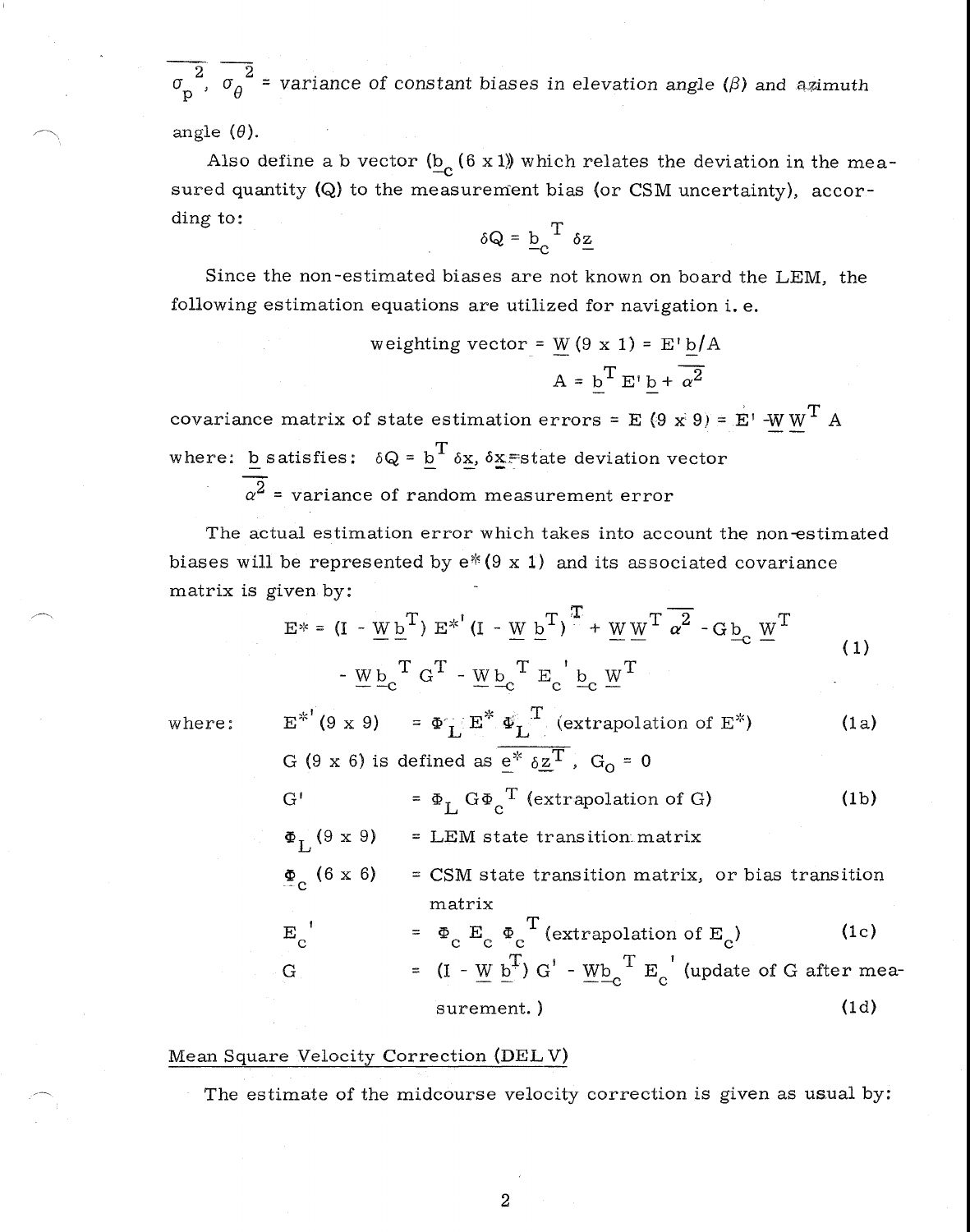2  $\sigma$  2  $\sigma_{\rm p}^2$ ,  $\sigma_{\rm \theta}^2$  = variance of constant biases in elevation angle ( $\beta$ ) and azimuth

angle  $(\theta)$ .

Also define a b vector  $(\underline{\mathbf{b}}_{\mathbf{c}}(6\ \mathbf{x}\ 1))$  which relates the deviation in the measured quantity (Q) to the measurement bias (or CSM uncertainty), according to:

$$
\delta Q = \underline{b}_C^T \delta \underline{z}
$$

Since the non-estimated biases are not known on board the LEM, the following estimation equations are utilized for navigation i. e.

$$
\begin{aligned} \text{weighting vector} &= \underline{W} \left( 9 \times 1 \right) = \underline{E'} \underline{b} / A \\ \mathbf{A} &= \underline{b}^{\mathrm{T}} \, \underline{E'} \, \underline{b} + \overline{\alpha^2} \end{aligned}
$$

covariance matrix of state estimation errors = E (9 x 9) =  $E'$  -W W<sup>T</sup> A where: **b** satisfies:  $\delta Q = \underline{b}^T \delta \underline{x}$ ,  $\delta \underline{x}$  state deviation vector

 $\overline{\alpha^2}$  = variance of random measurement error

The actual estimation error which takes into account the non-estimated biases will be represented by  $e^*(9 \times 1)$  and its associated covariance matrix is given by:

$$
E^* = (I - \underline{W} \underline{b}^T) E^{*'} (I - \underline{W} \underline{b}^T)^{\frac{T}{\cdot}} + \underline{W} \underline{W}^T \overline{\alpha}^2 - G \underline{b}_c \underline{W}^T
$$
  
- 
$$
\underline{W} \underline{b}_c^T G^T - \underline{W} \underline{b}_c^T E_c \underline{b}_c \underline{W}^T
$$
 (1)

where: 
$$
E^{*^{\dagger}}(9 \times 9) = \Phi_L^{\dagger} E^* \Phi_L^T
$$
 (extrapolation of E\*) (1a)  
\n $G(9 \times 6)$  is defined as  $\frac{e^*}{e^*} \frac{e}{2}T$ ,  $G_0 = 0$   
\n $G^{\dagger} = \Phi_L G \Phi_C^T$  (extrapolation of G) (1b)  
\n $\Phi_L(9 \times 9) = LEM$  state transition matrix  
\n $\Phi_C (6 \times 6) = CSM$  state transition matrix, or bias transition  
\nmatrix  
\n $E_C^{\dagger} = \Phi_C E_C \Phi_C^T$  (extrapolation of E<sub>C</sub>) (1c)  
\n $G = (I - \underline{W} \underline{b}^T) G^{\dagger} - \underline{W} \underline{b}_C^T E_C^{\dagger}$  (update of G after mea-  
\nsurrent.) (1d)

## Mean Square Velocity Correction (DEL V)

The estimate of the midcourse velocity correction is given as usual by: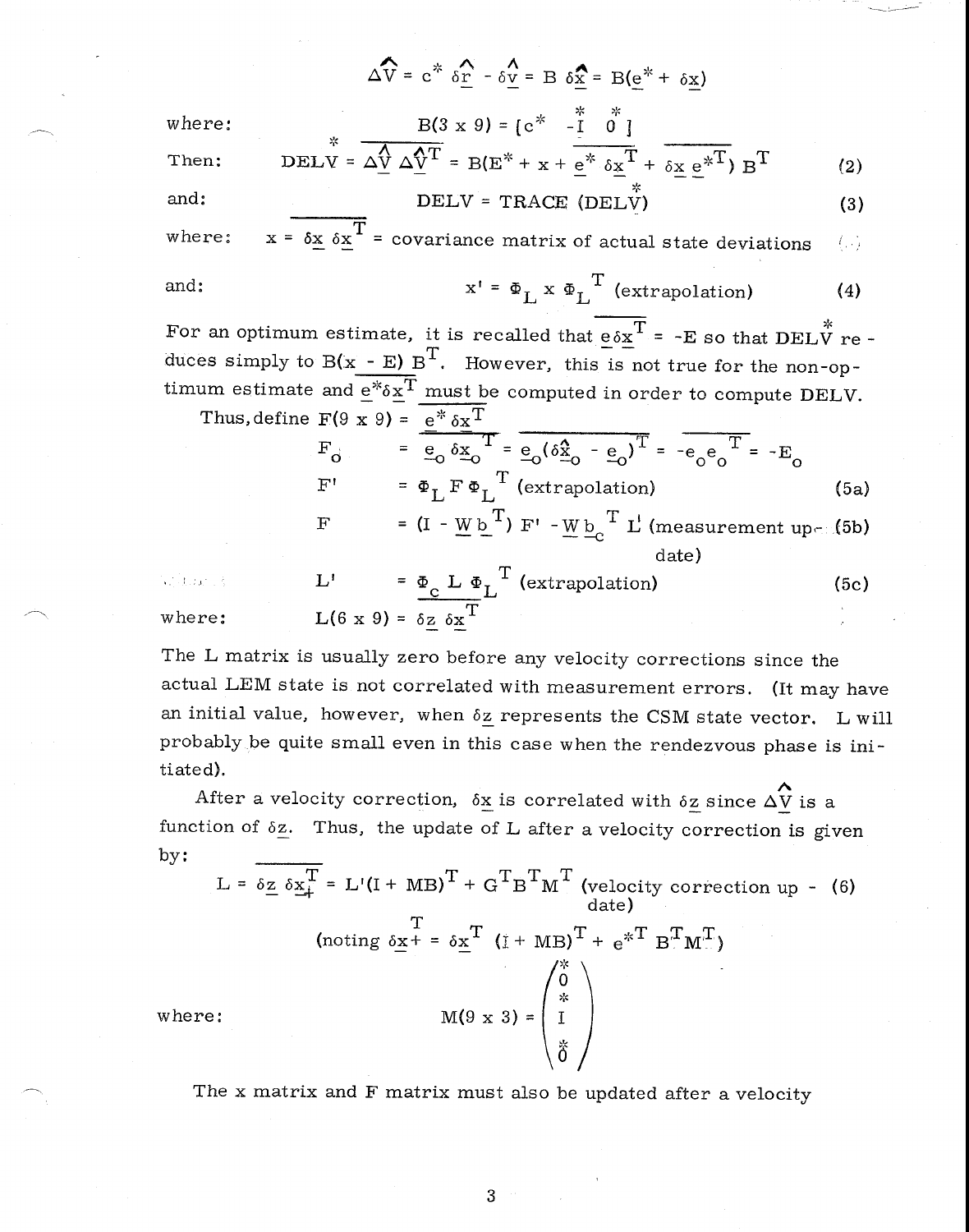$$
\Delta \widehat{V} = c^* \delta \widehat{r} - \delta \underline{v} = B \delta \underline{x} = B(\underline{e}^* + \delta \underline{x})
$$
  
where:  

$$
B(3 \times 9) = [c^* - \underline{I} \ \ 0^{\frac{1}{2}}]
$$
  
Then:  

$$
DELY = \Delta \underline{V} \Delta \underline{V}^T = B(E^* + x + \underline{e^*} \ \delta \underline{x}^T + \delta \underline{x} \ \underline{e^*}^T) B^T
$$
(2)

and: 
$$
DELV = TRACE (DELV)
$$
 (3)

where:  $x = \delta x \delta x^T$  = covariance matrix of actual state deviations  $-\left( -\right)$ 

and: 
$$
x' = \Phi_L x \Phi_L^T
$$
 (extrapolation) (4)

For an optimum estimate, it is recalled that  $e \delta x^T = -E$  so that DELV re duces simply to  $B(x - E) B<sup>T</sup>$ . However, this is not true for the non-optimum estimate and  $e^* \delta x^T$  must be computed in order to compute DELV.

Thus, define 
$$
F(9 \times 9) = e^* \delta x^T
$$
  
\n
$$
F_0 = e^* \delta x^T = e_0 (\delta x - e_0)^T = -e_0 e_0^T = -E_0
$$
\n
$$
F' = \Phi_L F \Phi_L^T \text{ (extrapolation)}
$$
\n
$$
F = (I - Wb^T) F' - Wb_C^T L' \text{ (measurement up-16b)}
$$
\n
$$
F = \Phi_L \Phi_L^T \text{ (extrapolation)}
$$
\n
$$
F = \Phi_L \Phi_L^T \text{ (extrapolation)}
$$
\n
$$
F = \Phi_L \Phi_L^T \text{ (extrapolation)}
$$
\n
$$
F = \Phi_L \Phi_L^T \text{ (extrapolation)}
$$
\n
$$
F = \Phi_L \Phi_L^T \text{ (extrapolation)}
$$

 $L'$  =  $\Phi_{\text{c}} L \Phi_{\text{L}}^{\text{T}}$  (extrapolation) (5c) and daring where:  $L(6 \times 9) = \delta_{\mathbb{Z}} \delta_{\mathbb{Z}}^{\mathbb{T}}$ 

The L matrix is usually zero before any velocity corrections since the actual LEM state is not correlated with measurement errors. (It may have an initial value, however, when  $\delta z$  represents the CSM state vector. L will probably be quite small even in this case when the rendezvous phase is initiated).

After a velocity correction,  $\delta \underline{x}$  is correlated with  $\delta \underline{z}$  since  $\Delta \hat{V}$  is a function of  $\delta z$ . Thus, the update of L after a velocity correction is given by:

$$
L = \delta_{\mathbf{Z}} \delta_{\mathbf{X}}^T = L'(I + MB)^T + G^T B^T M^T \text{ (velocity correction up - (6)}
$$
\n
$$
\text{(noting } \delta_{\mathbf{X}}^T = \delta_{\mathbf{X}}^T (I + MB)^T + e^{*T} B^T M^T)
$$
\n
$$
M(9 \times 3) = \begin{pmatrix} \stackrel{*}{\circ} \\ 0 \\ I \\ \stackrel{*}{\circ} \end{pmatrix}
$$

The x matrix and F matrix must also be updated after a velocity